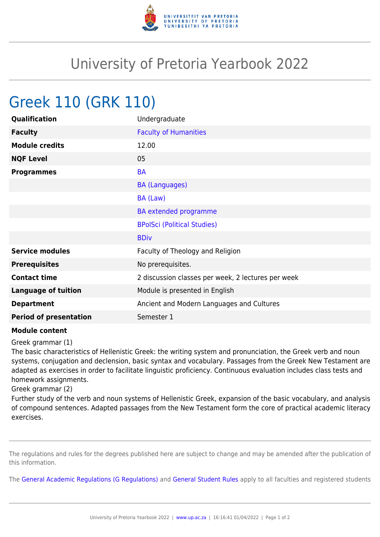

## University of Pretoria Yearbook 2022

## Greek 110 (GRK 110)

| Qualification                 | Undergraduate                                      |
|-------------------------------|----------------------------------------------------|
| <b>Faculty</b>                | <b>Faculty of Humanities</b>                       |
| <b>Module credits</b>         | 12.00                                              |
| <b>NQF Level</b>              | 05                                                 |
| <b>Programmes</b>             | <b>BA</b>                                          |
|                               | <b>BA (Languages)</b>                              |
|                               | BA (Law)                                           |
|                               | <b>BA</b> extended programme                       |
|                               | <b>BPolSci (Political Studies)</b>                 |
|                               | <b>BDiv</b>                                        |
| <b>Service modules</b>        | Faculty of Theology and Religion                   |
| <b>Prerequisites</b>          | No prerequisites.                                  |
| <b>Contact time</b>           | 2 discussion classes per week, 2 lectures per week |
| <b>Language of tuition</b>    | Module is presented in English                     |
| <b>Department</b>             | Ancient and Modern Languages and Cultures          |
| <b>Period of presentation</b> | Semester 1                                         |

## **Module content**

Greek grammar (1)

The basic characteristics of Hellenistic Greek: the writing system and pronunciation, the Greek verb and noun systems, conjugation and declension, basic syntax and vocabulary. Passages from the Greek New Testament are adapted as exercises in order to facilitate linguistic proficiency. Continuous evaluation includes class tests and homework assignments.

Greek grammar (2)

Further study of the verb and noun systems of Hellenistic Greek, expansion of the basic vocabulary, and analysis of compound sentences. Adapted passages from the New Testament form the core of practical academic literacy exercises.

The regulations and rules for the degrees published here are subject to change and may be amended after the publication of this information.

The [General Academic Regulations \(G Regulations\)](https://www.up.ac.za/mechanical-and-aeronautical-engineering/yearbooks/2022/rules/view/REG) and [General Student Rules](https://www.up.ac.za/mechanical-and-aeronautical-engineering/yearbooks/2022/rules/view/RUL) apply to all faculties and registered students